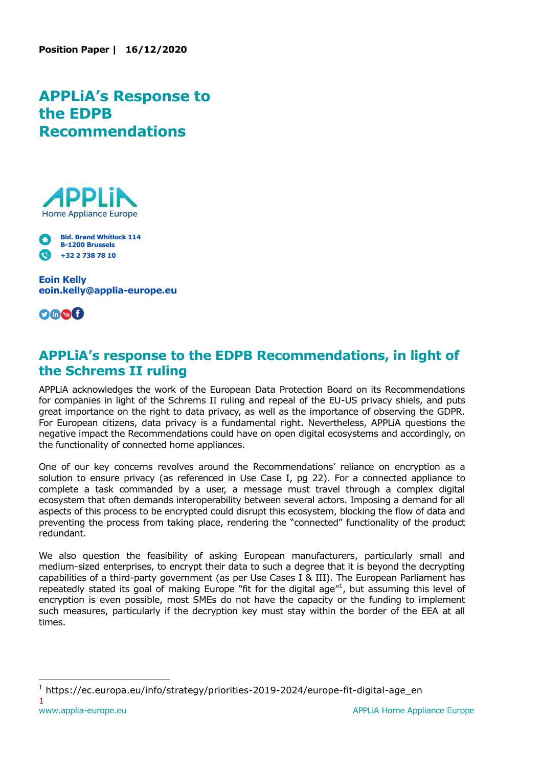## **APPLiA's Response to the EDPB Recommendations**



**Bld. Brand Whitlock 114**  M **B-1200 Brussels +32 2 738 78 10** 

**Eoin Kelly eoin.kelly@applia-europe.eu**



## **APPLiA's response to the EDPB Recommendations, in light of the Schrems II ruling**

APPLiA acknowledges the work of the European Data Protection Board on its Recommendations for companies in light of the Schrems II ruling and repeal of the EU-US privacy shiels, and puts great importance on the right to data privacy, as well as the importance of observing the GDPR. For European citizens, data privacy is a fundamental right. Nevertheless, APPLiA questions the negative impact the Recommendations could have on open digital ecosystems and accordingly, on the functionality of connected home appliances.

One of our key concerns revolves around the Recommendations' reliance on encryption as a solution to ensure privacy (as referenced in Use Case I, pg 22). For a connected appliance to complete a task commanded by a user, a message must travel through a complex digital ecosystem that often demands interoperability between several actors. Imposing a demand for all aspects of this process to be encrypted could disrupt this ecosystem, blocking the flow of data and preventing the process from taking place, rendering the "connected" functionality of the product redundant.

We also question the feasibility of asking European manufacturers, particularly small and medium-sized enterprises, to encrypt their data to such a degree that it is beyond the decrypting capabilities of a third-party government (as per Use Cases I & III). The European Parliament has repeatedly stated its goal of making Europe "fit for the digital age"<sup>1</sup>, but assuming this level of encryption is even possible, most SMEs do not have the capacity or the funding to implement such measures, particularly if the decryption key must stay within the border of the EEA at all times.

1

i, <sup>1</sup> https://ec.europa.eu/info/strategy/priorities-2019-2024/europe-fit-digital-age\_en